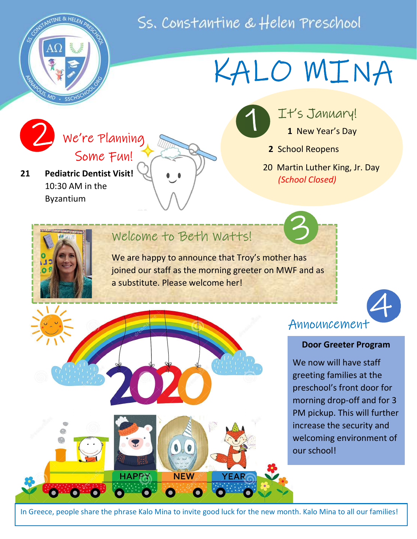Ss. Constantine & Helen Preschool

 $\mathbf{I}$ 



## KALO MINA

We're Planning We're Plannin<br>Some Fun!

21 Pediatric Dentist Visit! 10:30 AM in the Byzantium

It's January! 1

1 New Year's Day

2 School Reopens

3

 20 Martin Luther King, Jr. Day (School Closed)

### Welcome to Beth Watts!

We are happy to announce that Troy's mother has joined our staff as the morning greeter on MWF and as a substitute. Please welcome her!



### Announcement

#### Door Greeter Program

We now will have staff greeting families at the preschool's front door for morning drop-off and for 3 PM pickup. This will further increase the security and welcoming environment of our school!



In Greece, people share the phrase Kalo Mina to invite good luck for the new month. Kalo Mina to all our families!